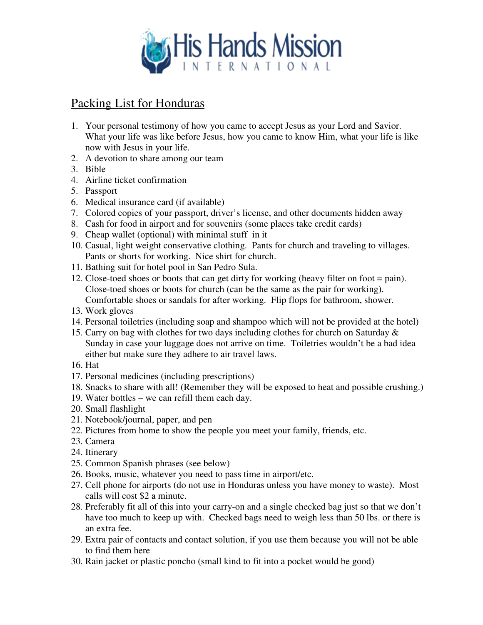

## Packing List for Honduras

- 1. Your personal testimony of how you came to accept Jesus as your Lord and Savior. What your life was like before Jesus, how you came to know Him, what your life is like now with Jesus in your life.
- 2. A devotion to share among our team
- 3. Bible
- 4. Airline ticket confirmation
- 5. Passport
- 6. Medical insurance card (if available)
- 7. Colored copies of your passport, driver's license, and other documents hidden away
- 8. Cash for food in airport and for souvenirs (some places take credit cards)
- 9. Cheap wallet (optional) with minimal stuff in it
- 10. Casual, light weight conservative clothing. Pants for church and traveling to villages. Pants or shorts for working. Nice shirt for church.
- 11. Bathing suit for hotel pool in San Pedro Sula.
- 12. Close-toed shoes or boots that can get dirty for working (heavy filter on foot = pain). Close-toed shoes or boots for church (can be the same as the pair for working). Comfortable shoes or sandals for after working. Flip flops for bathroom, shower.
- 13. Work gloves
- 14. Personal toiletries (including soap and shampoo which will not be provided at the hotel)
- 15. Carry on bag with clothes for two days including clothes for church on Saturday & Sunday in case your luggage does not arrive on time. Toiletries wouldn't be a bad idea either but make sure they adhere to air travel laws.
- 16. Hat
- 17. Personal medicines (including prescriptions)
- 18. Snacks to share with all! (Remember they will be exposed to heat and possible crushing.)
- 19. Water bottles we can refill them each day.
- 20. Small flashlight
- 21. Notebook/journal, paper, and pen
- 22. Pictures from home to show the people you meet your family, friends, etc.
- 23. Camera
- 24. Itinerary
- 25. Common Spanish phrases (see below)
- 26. Books, music, whatever you need to pass time in airport/etc.
- 27. Cell phone for airports (do not use in Honduras unless you have money to waste). Most calls will cost \$2 a minute.
- 28. Preferably fit all of this into your carry-on and a single checked bag just so that we don't have too much to keep up with. Checked bags need to weigh less than 50 lbs. or there is an extra fee.
- 29. Extra pair of contacts and contact solution, if you use them because you will not be able to find them here
- 30. Rain jacket or plastic poncho (small kind to fit into a pocket would be good)